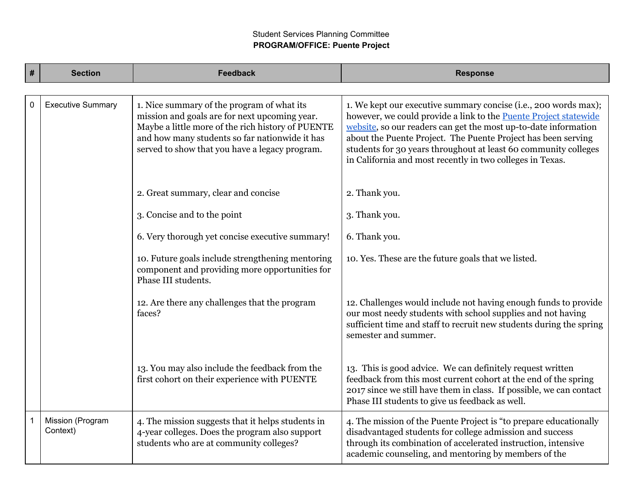# Student Services Planning Committee **PROGRAM/OFFICE: Puente Project**

| $\vert$ # | <b>Section</b>               | <b>Feedback</b>                                                                                                                                                                                                                                      | <b>Response</b>                                                                                                                                                                                                                                                                                                                                                                                                |
|-----------|------------------------------|------------------------------------------------------------------------------------------------------------------------------------------------------------------------------------------------------------------------------------------------------|----------------------------------------------------------------------------------------------------------------------------------------------------------------------------------------------------------------------------------------------------------------------------------------------------------------------------------------------------------------------------------------------------------------|
|           |                              |                                                                                                                                                                                                                                                      |                                                                                                                                                                                                                                                                                                                                                                                                                |
| 0         | <b>Executive Summary</b>     | 1. Nice summary of the program of what its<br>mission and goals are for next upcoming year.<br>Maybe a little more of the rich history of PUENTE<br>and how many students so far nationwide it has<br>served to show that you have a legacy program. | 1. We kept our executive summary concise (i.e., 200 words max);<br>however, we could provide a link to the <b>Puente Project statewide</b><br>website, so our readers can get the most up-to-date information<br>about the Puente Project. The Puente Project has been serving<br>students for 30 years throughout at least 60 community colleges<br>in California and most recently in two colleges in Texas. |
|           |                              | 2. Great summary, clear and concise                                                                                                                                                                                                                  | 2. Thank you.                                                                                                                                                                                                                                                                                                                                                                                                  |
|           |                              | 3. Concise and to the point                                                                                                                                                                                                                          | 3. Thank you.                                                                                                                                                                                                                                                                                                                                                                                                  |
|           |                              | 6. Very thorough yet concise executive summary!                                                                                                                                                                                                      | 6. Thank you.                                                                                                                                                                                                                                                                                                                                                                                                  |
|           |                              | 10. Future goals include strengthening mentoring<br>component and providing more opportunities for<br>Phase III students.                                                                                                                            | 10. Yes. These are the future goals that we listed.                                                                                                                                                                                                                                                                                                                                                            |
|           |                              | 12. Are there any challenges that the program<br>faces?                                                                                                                                                                                              | 12. Challenges would include not having enough funds to provide<br>our most needy students with school supplies and not having<br>sufficient time and staff to recruit new students during the spring<br>semester and summer.                                                                                                                                                                                  |
|           |                              | 13. You may also include the feedback from the<br>first cohort on their experience with PUENTE                                                                                                                                                       | 13. This is good advice. We can definitely request written<br>feedback from this most current cohort at the end of the spring<br>2017 since we still have them in class. If possible, we can contact<br>Phase III students to give us feedback as well.                                                                                                                                                        |
|           | Mission (Program<br>Context) | 4. The mission suggests that it helps students in<br>4-year colleges. Does the program also support<br>students who are at community colleges?                                                                                                       | 4. The mission of the Puente Project is "to prepare educationally<br>disadvantaged students for college admission and success<br>through its combination of accelerated instruction, intensive<br>academic counseling, and mentoring by members of the                                                                                                                                                         |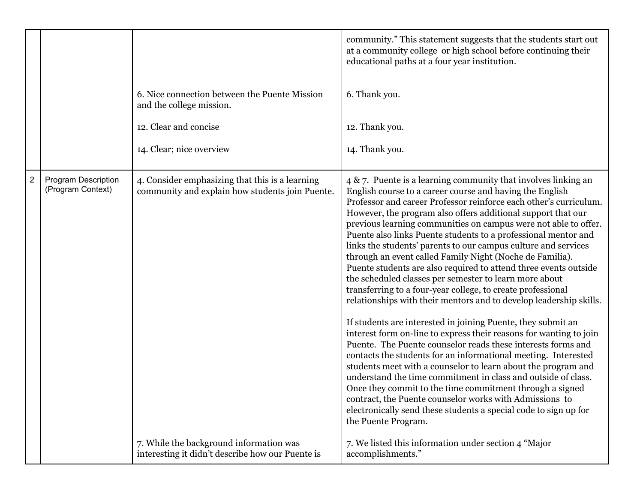|   |                                          | 6. Nice connection between the Puente Mission<br>and the college mission.<br>12. Clear and concise<br>14. Clear; nice overview | community." This statement suggests that the students start out<br>at a community college or high school before continuing their<br>educational paths at a four year institution.<br>6. Thank you.<br>12. Thank you.<br>14. Thank you.                                                                                                                                                                                                                                                                                                                                                                                                                                                                                                                                                                                                                                                                                                                                                                                                                                                                                                                                                                                                                                                                                                                                                                                                |
|---|------------------------------------------|--------------------------------------------------------------------------------------------------------------------------------|---------------------------------------------------------------------------------------------------------------------------------------------------------------------------------------------------------------------------------------------------------------------------------------------------------------------------------------------------------------------------------------------------------------------------------------------------------------------------------------------------------------------------------------------------------------------------------------------------------------------------------------------------------------------------------------------------------------------------------------------------------------------------------------------------------------------------------------------------------------------------------------------------------------------------------------------------------------------------------------------------------------------------------------------------------------------------------------------------------------------------------------------------------------------------------------------------------------------------------------------------------------------------------------------------------------------------------------------------------------------------------------------------------------------------------------|
| 2 | Program Description<br>(Program Context) | 4. Consider emphasizing that this is a learning<br>community and explain how students join Puente.                             | $4 \& 7$ . Puente is a learning community that involves linking an<br>English course to a career course and having the English<br>Professor and career Professor reinforce each other's curriculum.<br>However, the program also offers additional support that our<br>previous learning communities on campus were not able to offer.<br>Puente also links Puente students to a professional mentor and<br>links the students' parents to our campus culture and services<br>through an event called Family Night (Noche de Familia).<br>Puente students are also required to attend three events outside<br>the scheduled classes per semester to learn more about<br>transferring to a four-year college, to create professional<br>relationships with their mentors and to develop leadership skills.<br>If students are interested in joining Puente, they submit an<br>interest form on-line to express their reasons for wanting to join<br>Puente. The Puente counselor reads these interests forms and<br>contacts the students for an informational meeting. Interested<br>students meet with a counselor to learn about the program and<br>understand the time commitment in class and outside of class.<br>Once they commit to the time commitment through a signed<br>contract, the Puente counselor works with Admissions to<br>electronically send these students a special code to sign up for<br>the Puente Program. |
|   |                                          | 7. While the background information was<br>interesting it didn't describe how our Puente is                                    | 7. We listed this information under section 4 "Major"<br>accomplishments."                                                                                                                                                                                                                                                                                                                                                                                                                                                                                                                                                                                                                                                                                                                                                                                                                                                                                                                                                                                                                                                                                                                                                                                                                                                                                                                                                            |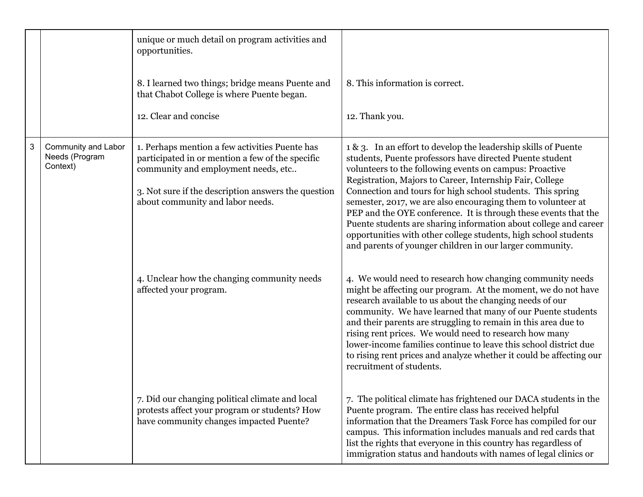|   |                                                   | unique or much detail on program activities and<br>opportunities.                                                                                                                                                                    |                                                                                                                                                                                                                                                                                                                                                                                                                                                                                                                                                                                                                                                       |
|---|---------------------------------------------------|--------------------------------------------------------------------------------------------------------------------------------------------------------------------------------------------------------------------------------------|-------------------------------------------------------------------------------------------------------------------------------------------------------------------------------------------------------------------------------------------------------------------------------------------------------------------------------------------------------------------------------------------------------------------------------------------------------------------------------------------------------------------------------------------------------------------------------------------------------------------------------------------------------|
|   |                                                   | 8. I learned two things; bridge means Puente and<br>that Chabot College is where Puente began.                                                                                                                                       | 8. This information is correct.                                                                                                                                                                                                                                                                                                                                                                                                                                                                                                                                                                                                                       |
|   |                                                   | 12. Clear and concise                                                                                                                                                                                                                | 12. Thank you.                                                                                                                                                                                                                                                                                                                                                                                                                                                                                                                                                                                                                                        |
| 3 | Community and Labor<br>Needs (Program<br>Context) | 1. Perhaps mention a few activities Puente has<br>participated in or mention a few of the specific<br>community and employment needs, etc<br>3. Not sure if the description answers the question<br>about community and labor needs. | 1 & 3. In an effort to develop the leadership skills of Puente<br>students, Puente professors have directed Puente student<br>volunteers to the following events on campus: Proactive<br>Registration, Majors to Career, Internship Fair, College<br>Connection and tours for high school students. This spring<br>semester, 2017, we are also encouraging them to volunteer at<br>PEP and the OYE conference. It is through these events that the<br>Puente students are sharing information about college and career<br>opportunities with other college students, high school students<br>and parents of younger children in our larger community. |
|   |                                                   | 4. Unclear how the changing community needs<br>affected your program.                                                                                                                                                                | 4. We would need to research how changing community needs<br>might be affecting our program. At the moment, we do not have<br>research available to us about the changing needs of our<br>community. We have learned that many of our Puente students<br>and their parents are struggling to remain in this area due to<br>rising rent prices. We would need to research how many<br>lower-income families continue to leave this school district due<br>to rising rent prices and analyze whether it could be affecting our<br>recruitment of students.                                                                                              |
|   |                                                   | 7. Did our changing political climate and local<br>protests affect your program or students? How<br>have community changes impacted Puente?                                                                                          | 7. The political climate has frightened our DACA students in the<br>Puente program. The entire class has received helpful<br>information that the Dreamers Task Force has compiled for our<br>campus. This information includes manuals and red cards that<br>list the rights that everyone in this country has regardless of<br>immigration status and handouts with names of legal clinics or                                                                                                                                                                                                                                                       |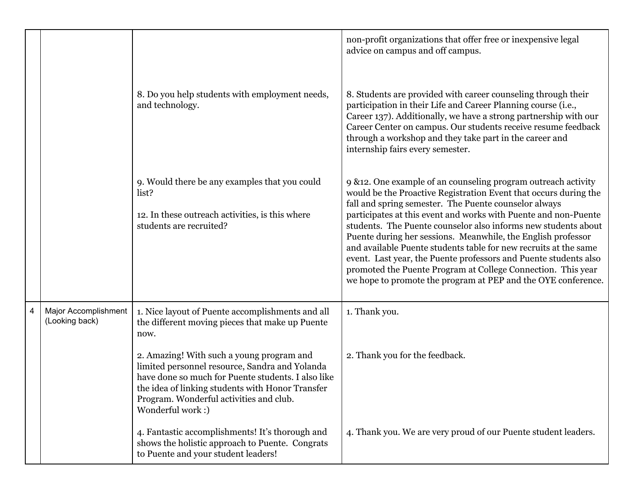|   |                                        |                                                                                                                                                                                                                                                                      | non-profit organizations that offer free or inexpensive legal<br>advice on campus and off campus.                                                                                                                                                                                                                                                                                                                                                                                                                                                                                                                                                                         |
|---|----------------------------------------|----------------------------------------------------------------------------------------------------------------------------------------------------------------------------------------------------------------------------------------------------------------------|---------------------------------------------------------------------------------------------------------------------------------------------------------------------------------------------------------------------------------------------------------------------------------------------------------------------------------------------------------------------------------------------------------------------------------------------------------------------------------------------------------------------------------------------------------------------------------------------------------------------------------------------------------------------------|
|   |                                        | 8. Do you help students with employment needs,<br>and technology.                                                                                                                                                                                                    | 8. Students are provided with career counseling through their<br>participation in their Life and Career Planning course (i.e.,<br>Career 137). Additionally, we have a strong partnership with our<br>Career Center on campus. Our students receive resume feedback<br>through a workshop and they take part in the career and<br>internship fairs every semester.                                                                                                                                                                                                                                                                                                        |
|   |                                        | 9. Would there be any examples that you could<br>list?<br>12. In these outreach activities, is this where<br>students are recruited?                                                                                                                                 | 9 & 12. One example of an counseling program outreach activity<br>would be the Proactive Registration Event that occurs during the<br>fall and spring semester. The Puente counselor always<br>participates at this event and works with Puente and non-Puente<br>students. The Puente counselor also informs new students about<br>Puente during her sessions. Meanwhile, the English professor<br>and available Puente students table for new recruits at the same<br>event. Last year, the Puente professors and Puente students also<br>promoted the Puente Program at College Connection. This year<br>we hope to promote the program at PEP and the OYE conference. |
| 4 | Major Accomplishment<br>(Looking back) | 1. Nice layout of Puente accomplishments and all<br>the different moving pieces that make up Puente<br>now.                                                                                                                                                          | 1. Thank you.                                                                                                                                                                                                                                                                                                                                                                                                                                                                                                                                                                                                                                                             |
|   |                                        | 2. Amazing! With such a young program and<br>limited personnel resource, Sandra and Yolanda<br>have done so much for Puente students. I also like<br>the idea of linking students with Honor Transfer<br>Program. Wonderful activities and club.<br>Wonderful work:) | 2. Thank you for the feedback.                                                                                                                                                                                                                                                                                                                                                                                                                                                                                                                                                                                                                                            |
|   |                                        | 4. Fantastic accomplishments! It's thorough and<br>shows the holistic approach to Puente. Congrats<br>to Puente and your student leaders!                                                                                                                            | 4. Thank you. We are very proud of our Puente student leaders.                                                                                                                                                                                                                                                                                                                                                                                                                                                                                                                                                                                                            |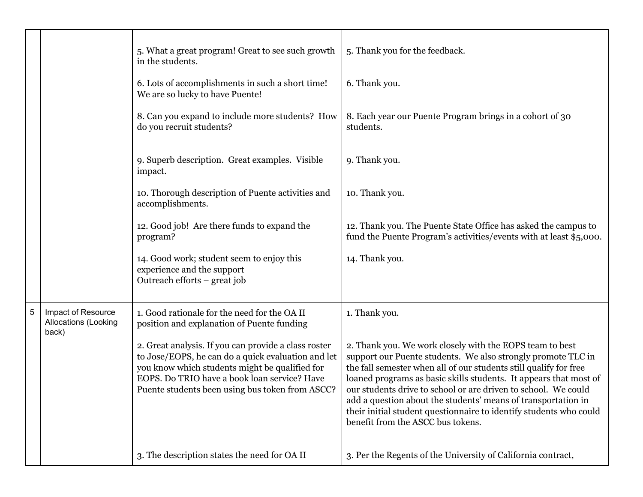|   |                                                     | 5. What a great program! Great to see such growth<br>in the students.                                                                                                                                                                                           | 5. Thank you for the feedback.                                                                                                                                                                                                                                                                                                                                                                                                                                                                                   |
|---|-----------------------------------------------------|-----------------------------------------------------------------------------------------------------------------------------------------------------------------------------------------------------------------------------------------------------------------|------------------------------------------------------------------------------------------------------------------------------------------------------------------------------------------------------------------------------------------------------------------------------------------------------------------------------------------------------------------------------------------------------------------------------------------------------------------------------------------------------------------|
|   |                                                     | 6. Lots of accomplishments in such a short time!<br>We are so lucky to have Puente!                                                                                                                                                                             | 6. Thank you.                                                                                                                                                                                                                                                                                                                                                                                                                                                                                                    |
|   |                                                     | 8. Can you expand to include more students? How<br>do you recruit students?                                                                                                                                                                                     | 8. Each year our Puente Program brings in a cohort of 30<br>students.                                                                                                                                                                                                                                                                                                                                                                                                                                            |
|   |                                                     | 9. Superb description. Great examples. Visible<br>impact.                                                                                                                                                                                                       | 9. Thank you.                                                                                                                                                                                                                                                                                                                                                                                                                                                                                                    |
|   |                                                     | 10. Thorough description of Puente activities and<br>accomplishments.                                                                                                                                                                                           | 10. Thank you.                                                                                                                                                                                                                                                                                                                                                                                                                                                                                                   |
|   |                                                     | 12. Good job! Are there funds to expand the<br>program?                                                                                                                                                                                                         | 12. Thank you. The Puente State Office has asked the campus to<br>fund the Puente Program's activities/events with at least \$5,000.                                                                                                                                                                                                                                                                                                                                                                             |
|   |                                                     | 14. Good work; student seem to enjoy this<br>experience and the support<br>Outreach efforts – great job                                                                                                                                                         | 14. Thank you.                                                                                                                                                                                                                                                                                                                                                                                                                                                                                                   |
| 5 | Impact of Resource<br>Allocations (Looking<br>back) | 1. Good rationale for the need for the OA II<br>position and explanation of Puente funding                                                                                                                                                                      | 1. Thank you.                                                                                                                                                                                                                                                                                                                                                                                                                                                                                                    |
|   |                                                     | 2. Great analysis. If you can provide a class roster<br>to Jose/EOPS, he can do a quick evaluation and let<br>you know which students might be qualified for<br>EOPS. Do TRIO have a book loan service? Have<br>Puente students been using bus token from ASCC? | 2. Thank you. We work closely with the EOPS team to best<br>support our Puente students. We also strongly promote TLC in<br>the fall semester when all of our students still qualify for free<br>loaned programs as basic skills students. It appears that most of<br>our students drive to school or are driven to school. We could<br>add a question about the students' means of transportation in<br>their initial student questionnaire to identify students who could<br>benefit from the ASCC bus tokens. |
|   |                                                     | 3. The description states the need for OA II                                                                                                                                                                                                                    | 3. Per the Regents of the University of California contract,                                                                                                                                                                                                                                                                                                                                                                                                                                                     |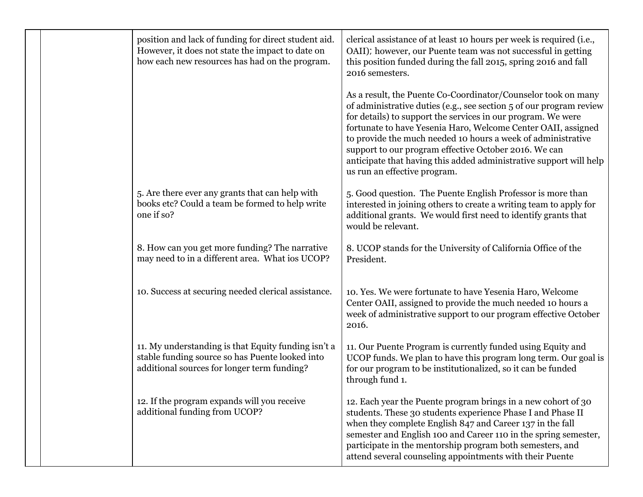|  | position and lack of funding for direct student aid.<br>However, it does not state the impact to date on<br>how each new resources has had on the program. | clerical assistance of at least 10 hours per week is required (i.e.,<br>OAII); however, our Puente team was not successful in getting<br>this position funded during the fall 2015, spring 2016 and fall<br>2016 semesters.                                                                                                                                                                                                                                                                          |
|--|------------------------------------------------------------------------------------------------------------------------------------------------------------|------------------------------------------------------------------------------------------------------------------------------------------------------------------------------------------------------------------------------------------------------------------------------------------------------------------------------------------------------------------------------------------------------------------------------------------------------------------------------------------------------|
|  |                                                                                                                                                            | As a result, the Puente Co-Coordinator/Counselor took on many<br>of administrative duties (e.g., see section 5 of our program review<br>for details) to support the services in our program. We were<br>fortunate to have Yesenia Haro, Welcome Center OAII, assigned<br>to provide the much needed 10 hours a week of administrative<br>support to our program effective October 2016. We can<br>anticipate that having this added administrative support will help<br>us run an effective program. |
|  | 5. Are there ever any grants that can help with<br>books etc? Could a team be formed to help write<br>one if so?                                           | 5. Good question. The Puente English Professor is more than<br>interested in joining others to create a writing team to apply for<br>additional grants. We would first need to identify grants that<br>would be relevant.                                                                                                                                                                                                                                                                            |
|  | 8. How can you get more funding? The narrative<br>may need to in a different area. What ios UCOP?                                                          | 8. UCOP stands for the University of California Office of the<br>President.                                                                                                                                                                                                                                                                                                                                                                                                                          |
|  | 10. Success at securing needed clerical assistance.                                                                                                        | 10. Yes. We were fortunate to have Yesenia Haro, Welcome<br>Center OAII, assigned to provide the much needed 10 hours a<br>week of administrative support to our program effective October<br>2016.                                                                                                                                                                                                                                                                                                  |
|  | 11. My understanding is that Equity funding isn't a<br>stable funding source so has Puente looked into<br>additional sources for longer term funding?      | 11. Our Puente Program is currently funded using Equity and<br>UCOP funds. We plan to have this program long term. Our goal is<br>for our program to be institutionalized, so it can be funded<br>through fund 1.                                                                                                                                                                                                                                                                                    |
|  | 12. If the program expands will you receive<br>additional funding from UCOP?                                                                               | 12. Each year the Puente program brings in a new cohort of 30<br>students. These 30 students experience Phase I and Phase II<br>when they complete English 847 and Career 137 in the fall<br>semester and English 100 and Career 110 in the spring semester,<br>participate in the mentorship program both semesters, and<br>attend several counseling appointments with their Puente                                                                                                                |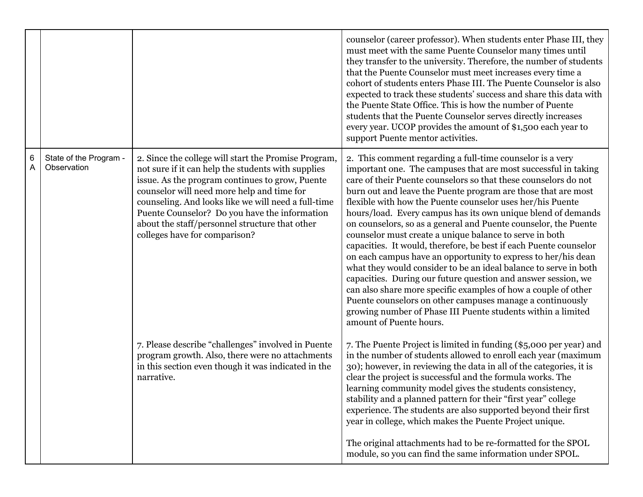|        |                                       |                                                                                                                                                                                                                                                                                                                                                                                                        | counselor (career professor). When students enter Phase III, they<br>must meet with the same Puente Counselor many times until<br>they transfer to the university. Therefore, the number of students<br>that the Puente Counselor must meet increases every time a<br>cohort of students enters Phase III. The Puente Counselor is also<br>expected to track these students' success and share this data with<br>the Puente State Office. This is how the number of Puente<br>students that the Puente Counselor serves directly increases<br>every year. UCOP provides the amount of \$1,500 each year to<br>support Puente mentor activities.                                                                                                                                                                                                                                                                                                                                                                                  |
|--------|---------------------------------------|--------------------------------------------------------------------------------------------------------------------------------------------------------------------------------------------------------------------------------------------------------------------------------------------------------------------------------------------------------------------------------------------------------|----------------------------------------------------------------------------------------------------------------------------------------------------------------------------------------------------------------------------------------------------------------------------------------------------------------------------------------------------------------------------------------------------------------------------------------------------------------------------------------------------------------------------------------------------------------------------------------------------------------------------------------------------------------------------------------------------------------------------------------------------------------------------------------------------------------------------------------------------------------------------------------------------------------------------------------------------------------------------------------------------------------------------------|
| 6<br>A | State of the Program -<br>Observation | 2. Since the college will start the Promise Program,<br>not sure if it can help the students with supplies<br>issue. As the program continues to grow, Puente<br>counselor will need more help and time for<br>counseling. And looks like we will need a full-time<br>Puente Counselor? Do you have the information<br>about the staff/personnel structure that other<br>colleges have for comparison? | 2. This comment regarding a full-time counselor is a very<br>important one. The campuses that are most successful in taking<br>care of their Puente counselors so that these counselors do not<br>burn out and leave the Puente program are those that are most<br>flexible with how the Puente counselor uses her/his Puente<br>hours/load. Every campus has its own unique blend of demands<br>on counselors, so as a general and Puente counselor, the Puente<br>counselor must create a unique balance to serve in both<br>capacities. It would, therefore, be best if each Puente counselor<br>on each campus have an opportunity to express to her/his dean<br>what they would consider to be an ideal balance to serve in both<br>capacities. During our future question and answer session, we<br>can also share more specific examples of how a couple of other<br>Puente counselors on other campuses manage a continuously<br>growing number of Phase III Puente students within a limited<br>amount of Puente hours. |
|        |                                       | 7. Please describe "challenges" involved in Puente<br>program growth. Also, there were no attachments<br>in this section even though it was indicated in the<br>narrative.                                                                                                                                                                                                                             | 7. The Puente Project is limited in funding (\$5,000 per year) and<br>in the number of students allowed to enroll each year (maximum<br>30); however, in reviewing the data in all of the categories, it is<br>clear the project is successful and the formula works. The<br>learning community model gives the students consistency,<br>stability and a planned pattern for their "first year" college<br>experience. The students are also supported beyond their first<br>year in college, which makes the Puente Project unique.<br>The original attachments had to be re-formatted for the SPOL<br>module, so you can find the same information under SPOL.                                                                                                                                                                                                                                                                                                                                                                 |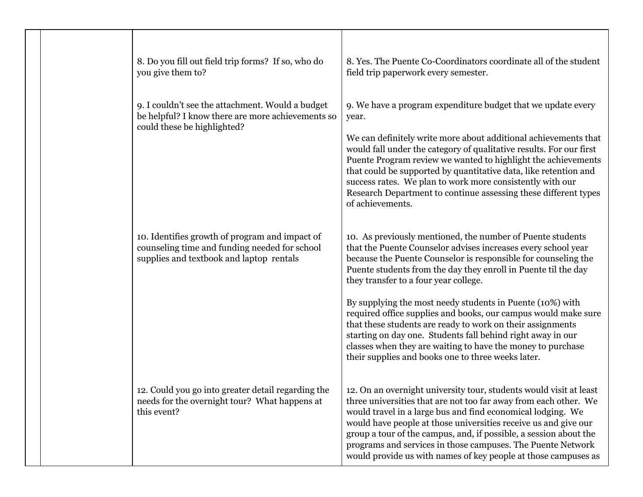| 8. Do you fill out field trip forms? If so, who do<br>you give them to?                                                                     | 8. Yes. The Puente Co-Coordinators coordinate all of the student<br>field trip paperwork every semester.                                                                                                                                                                                                                                                                                                                                                                                                                                                                                                                                                                                  |
|---------------------------------------------------------------------------------------------------------------------------------------------|-------------------------------------------------------------------------------------------------------------------------------------------------------------------------------------------------------------------------------------------------------------------------------------------------------------------------------------------------------------------------------------------------------------------------------------------------------------------------------------------------------------------------------------------------------------------------------------------------------------------------------------------------------------------------------------------|
| 9. I couldn't see the attachment. Would a budget<br>be helpful? I know there are more achievements so<br>could these be highlighted?        | 9. We have a program expenditure budget that we update every<br>year.<br>We can definitely write more about additional achievements that<br>would fall under the category of qualitative results. For our first<br>Puente Program review we wanted to highlight the achievements<br>that could be supported by quantitative data, like retention and<br>success rates. We plan to work more consistently with our<br>Research Department to continue assessing these different types<br>of achievements.                                                                                                                                                                                  |
| 10. Identifies growth of program and impact of<br>counseling time and funding needed for school<br>supplies and textbook and laptop rentals | 10. As previously mentioned, the number of Puente students<br>that the Puente Counselor advises increases every school year<br>because the Puente Counselor is responsible for counseling the<br>Puente students from the day they enroll in Puente til the day<br>they transfer to a four year college.<br>By supplying the most needy students in Puente (10%) with<br>required office supplies and books, our campus would make sure<br>that these students are ready to work on their assignments<br>starting on day one. Students fall behind right away in our<br>classes when they are waiting to have the money to purchase<br>their supplies and books one to three weeks later. |
| 12. Could you go into greater detail regarding the<br>needs for the overnight tour? What happens at<br>this event?                          | 12. On an overnight university tour, students would visit at least<br>three universities that are not too far away from each other. We<br>would travel in a large bus and find economical lodging. We<br>would have people at those universities receive us and give our<br>group a tour of the campus, and, if possible, a session about the<br>programs and services in those campuses. The Puente Network<br>would provide us with names of key people at those campuses as                                                                                                                                                                                                            |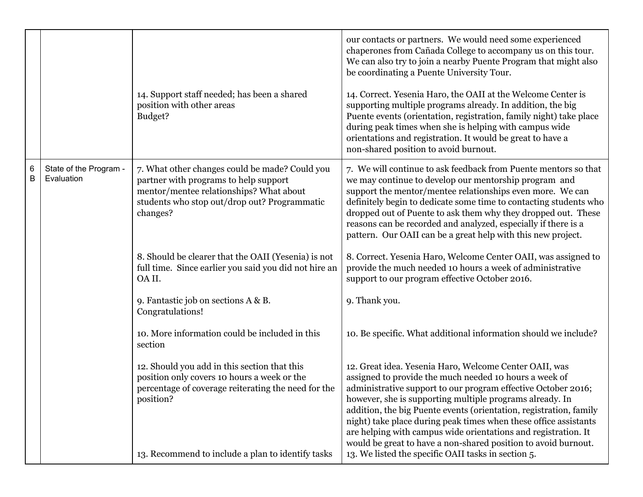|        |                                      | 14. Support staff needed; has been a shared<br>position with other areas<br>Budget?                                                                                                                                  | our contacts or partners. We would need some experienced<br>chaperones from Cañada College to accompany us on this tour.<br>We can also try to join a nearby Puente Program that might also<br>be coordinating a Puente University Tour.<br>14. Correct. Yesenia Haro, the OAII at the Welcome Center is<br>supporting multiple programs already. In addition, the big<br>Puente events (orientation, registration, family night) take place<br>during peak times when she is helping with campus wide<br>orientations and registration. It would be great to have a<br>non-shared position to avoid burnout. |
|--------|--------------------------------------|----------------------------------------------------------------------------------------------------------------------------------------------------------------------------------------------------------------------|---------------------------------------------------------------------------------------------------------------------------------------------------------------------------------------------------------------------------------------------------------------------------------------------------------------------------------------------------------------------------------------------------------------------------------------------------------------------------------------------------------------------------------------------------------------------------------------------------------------|
| 6<br>B | State of the Program -<br>Evaluation | 7. What other changes could be made? Could you<br>partner with programs to help support<br>mentor/mentee relationships? What about<br>students who stop out/drop out? Programmatic<br>changes?                       | 7. We will continue to ask feedback from Puente mentors so that<br>we may continue to develop our mentorship program and<br>support the mentor/mentee relationships even more. We can<br>definitely begin to dedicate some time to contacting students who<br>dropped out of Puente to ask them why they dropped out. These<br>reasons can be recorded and analyzed, especially if there is a<br>pattern. Our OAII can be a great help with this new project.                                                                                                                                                 |
|        |                                      | 8. Should be clearer that the OAII (Yesenia) is not<br>full time. Since earlier you said you did not hire an<br>OA II.                                                                                               | 8. Correct. Yesenia Haro, Welcome Center OAII, was assigned to<br>provide the much needed 10 hours a week of administrative<br>support to our program effective October 2016.                                                                                                                                                                                                                                                                                                                                                                                                                                 |
|        |                                      | 9. Fantastic job on sections A & B.<br>Congratulations!                                                                                                                                                              | 9. Thank you.                                                                                                                                                                                                                                                                                                                                                                                                                                                                                                                                                                                                 |
|        |                                      | 10. More information could be included in this<br>section                                                                                                                                                            | 10. Be specific. What additional information should we include?                                                                                                                                                                                                                                                                                                                                                                                                                                                                                                                                               |
|        |                                      | 12. Should you add in this section that this<br>position only covers 10 hours a week or the<br>percentage of coverage reiterating the need for the<br>position?<br>13. Recommend to include a plan to identify tasks | 12. Great idea. Yesenia Haro, Welcome Center OAII, was<br>assigned to provide the much needed 10 hours a week of<br>administrative support to our program effective October 2016;<br>however, she is supporting multiple programs already. In<br>addition, the big Puente events (orientation, registration, family<br>night) take place during peak times when these office assistants<br>are helping with campus wide orientations and registration. It<br>would be great to have a non-shared position to avoid burnout.<br>13. We listed the specific OAII tasks in section 5.                            |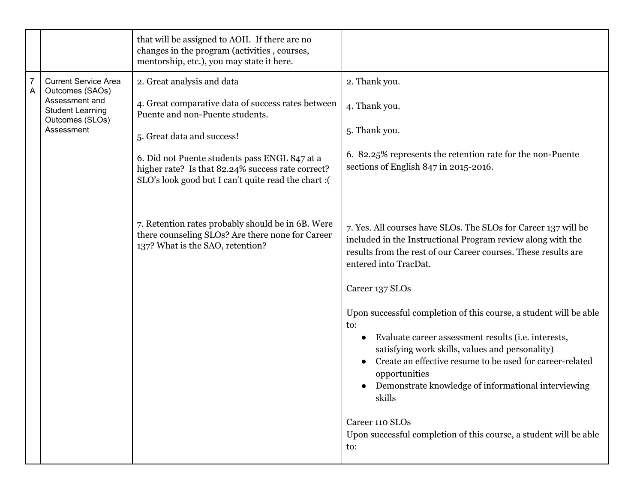|                     |                                                              | that will be assigned to AOII. If there are no<br>changes in the program (activities, courses,<br>mentorship, etc.), you may state it here.                |                                                                                                                                                                                                                                                                                                                                               |
|---------------------|--------------------------------------------------------------|------------------------------------------------------------------------------------------------------------------------------------------------------------|-----------------------------------------------------------------------------------------------------------------------------------------------------------------------------------------------------------------------------------------------------------------------------------------------------------------------------------------------|
| $\overline{7}$<br>A | <b>Current Service Area</b><br>Outcomes (SAOs)               | 2. Great analysis and data                                                                                                                                 | 2. Thank you.                                                                                                                                                                                                                                                                                                                                 |
|                     | Assessment and<br><b>Student Learning</b><br>Outcomes (SLOs) | 4. Great comparative data of success rates between<br>Puente and non-Puente students.                                                                      | 4. Thank you.                                                                                                                                                                                                                                                                                                                                 |
|                     | Assessment                                                   | 5. Great data and success!                                                                                                                                 | 5. Thank you.                                                                                                                                                                                                                                                                                                                                 |
|                     |                                                              | 6. Did not Puente students pass ENGL 847 at a<br>higher rate? Is that 82.24% success rate correct?<br>SLO's look good but I can't quite read the chart : ( | 6. 82.25% represents the retention rate for the non-Puente<br>sections of English $847$ in 2015-2016.                                                                                                                                                                                                                                         |
|                     |                                                              |                                                                                                                                                            |                                                                                                                                                                                                                                                                                                                                               |
|                     |                                                              | 7. Retention rates probably should be in 6B. Were<br>there counseling SLOs? Are there none for Career<br>137? What is the SAO, retention?                  | 7. Yes. All courses have SLOs. The SLOs for Career 137 will be<br>included in the Instructional Program review along with the<br>results from the rest of our Career courses. These results are<br>entered into TracDat.                                                                                                                      |
|                     |                                                              |                                                                                                                                                            | Career 137 SLOs                                                                                                                                                                                                                                                                                                                               |
|                     |                                                              |                                                                                                                                                            | Upon successful completion of this course, a student will be able<br>to:<br>Evaluate career assessment results (i.e. interests,<br>$\bullet$<br>satisfying work skills, values and personality)<br>Create an effective resume to be used for career-related<br>opportunities<br>Demonstrate knowledge of informational interviewing<br>skills |
|                     |                                                              |                                                                                                                                                            | Career 110 SLOs<br>Upon successful completion of this course, a student will be able<br>to:                                                                                                                                                                                                                                                   |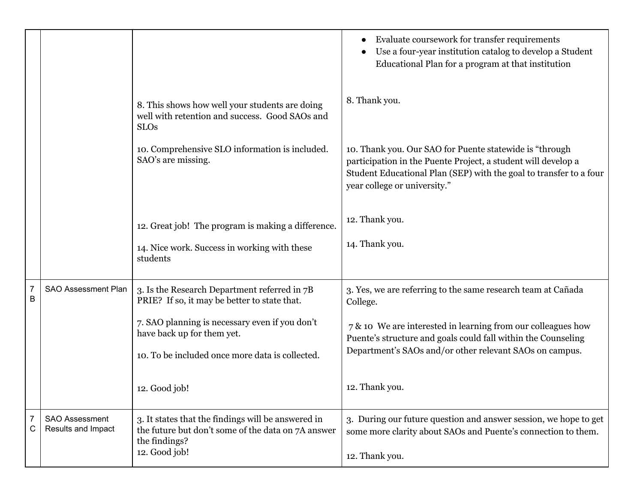|        |                                             |                                                                                                                                                                                                                                                  | Evaluate coursework for transfer requirements<br>Use a four-year institution catalog to develop a Student<br>Educational Plan for a program at that institution                                                                                                                        |
|--------|---------------------------------------------|--------------------------------------------------------------------------------------------------------------------------------------------------------------------------------------------------------------------------------------------------|----------------------------------------------------------------------------------------------------------------------------------------------------------------------------------------------------------------------------------------------------------------------------------------|
|        |                                             | 8. This shows how well your students are doing<br>well with retention and success. Good SAOs and<br><b>SLOs</b>                                                                                                                                  | 8. Thank you.                                                                                                                                                                                                                                                                          |
|        |                                             | 10. Comprehensive SLO information is included.<br>SAO's are missing.                                                                                                                                                                             | 10. Thank you. Our SAO for Puente statewide is "through<br>participation in the Puente Project, a student will develop a<br>Student Educational Plan (SEP) with the goal to transfer to a four<br>year college or university."                                                         |
|        |                                             | 12. Great job! The program is making a difference.<br>14. Nice work. Success in working with these<br>students                                                                                                                                   | 12. Thank you.<br>14. Thank you.                                                                                                                                                                                                                                                       |
| 7<br>B | SAO Assessment Plan                         | 3. Is the Research Department referred in 7B<br>PRIE? If so, it may be better to state that.<br>7. SAO planning is necessary even if you don't<br>have back up for them yet.<br>10. To be included once more data is collected.<br>12. Good job! | 3. Yes, we are referring to the same research team at Cañada<br>College.<br>7 & 10 We are interested in learning from our colleagues how<br>Puente's structure and goals could fall within the Counseling<br>Department's SAOs and/or other relevant SAOs on campus.<br>12. Thank you. |
| 7<br>C | <b>SAO Assessment</b><br>Results and Impact | 3. It states that the findings will be answered in<br>the future but don't some of the data on 7A answer<br>the findings?<br>12. Good job!                                                                                                       | 3. During our future question and answer session, we hope to get<br>some more clarity about SAOs and Puente's connection to them.<br>12. Thank you.                                                                                                                                    |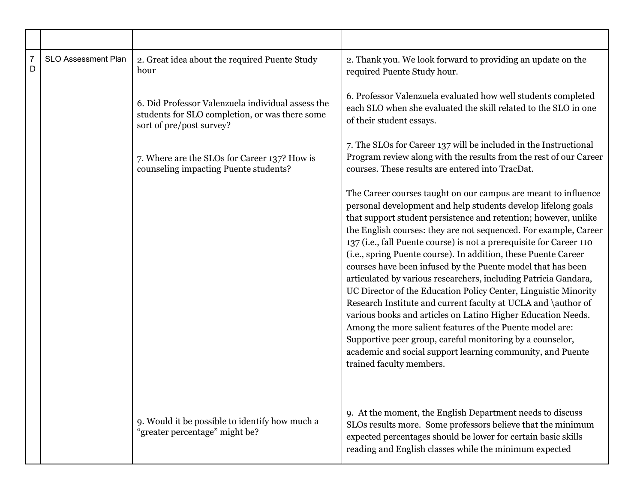| $\overline{7}$<br>D | <b>SLO Assessment Plan</b> | 2. Great idea about the required Puente Study<br>hour                                                                           | 2. Thank you. We look forward to providing an update on the<br>required Puente Study hour.                                                                                                                                                                                                                                                                                                                                                                                                                                                                                                                                                                                                                                                                                                                                                                                                                                                                               |
|---------------------|----------------------------|---------------------------------------------------------------------------------------------------------------------------------|--------------------------------------------------------------------------------------------------------------------------------------------------------------------------------------------------------------------------------------------------------------------------------------------------------------------------------------------------------------------------------------------------------------------------------------------------------------------------------------------------------------------------------------------------------------------------------------------------------------------------------------------------------------------------------------------------------------------------------------------------------------------------------------------------------------------------------------------------------------------------------------------------------------------------------------------------------------------------|
|                     |                            | 6. Did Professor Valenzuela individual assess the<br>students for SLO completion, or was there some<br>sort of pre/post survey? | 6. Professor Valenzuela evaluated how well students completed<br>each SLO when she evaluated the skill related to the SLO in one<br>of their student essays.                                                                                                                                                                                                                                                                                                                                                                                                                                                                                                                                                                                                                                                                                                                                                                                                             |
|                     |                            | 7. Where are the SLOs for Career 137? How is<br>counseling impacting Puente students?                                           | 7. The SLOs for Career 137 will be included in the Instructional<br>Program review along with the results from the rest of our Career<br>courses. These results are entered into TracDat.                                                                                                                                                                                                                                                                                                                                                                                                                                                                                                                                                                                                                                                                                                                                                                                |
|                     |                            |                                                                                                                                 | The Career courses taught on our campus are meant to influence<br>personal development and help students develop lifelong goals<br>that support student persistence and retention; however, unlike<br>the English courses: they are not sequenced. For example, Career<br>137 (i.e., fall Puente course) is not a prerequisite for Career 110<br>(i.e., spring Puente course). In addition, these Puente Career<br>courses have been infused by the Puente model that has been<br>articulated by various researchers, including Patricia Gandara,<br>UC Director of the Education Policy Center, Linguistic Minority<br>Research Institute and current faculty at UCLA and \author of<br>various books and articles on Latino Higher Education Needs.<br>Among the more salient features of the Puente model are:<br>Supportive peer group, careful monitoring by a counselor,<br>academic and social support learning community, and Puente<br>trained faculty members. |
|                     |                            | 9. Would it be possible to identify how much a<br>"greater percentage" might be?                                                | 9. At the moment, the English Department needs to discuss<br>SLOs results more. Some professors believe that the minimum<br>expected percentages should be lower for certain basic skills<br>reading and English classes while the minimum expected                                                                                                                                                                                                                                                                                                                                                                                                                                                                                                                                                                                                                                                                                                                      |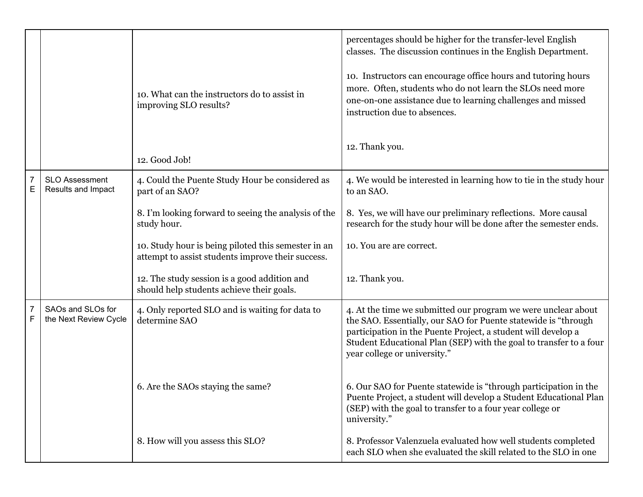|                     |                                             | 10. What can the instructors do to assist in<br>improving SLO results?<br>12. Good Job!                  | percentages should be higher for the transfer-level English<br>classes. The discussion continues in the English Department.<br>10. Instructors can encourage office hours and tutoring hours<br>more. Often, students who do not learn the SLOs need more<br>one-on-one assistance due to learning challenges and missed<br>instruction due to absences.<br>12. Thank you. |
|---------------------|---------------------------------------------|----------------------------------------------------------------------------------------------------------|----------------------------------------------------------------------------------------------------------------------------------------------------------------------------------------------------------------------------------------------------------------------------------------------------------------------------------------------------------------------------|
| 7<br>E              | <b>SLO Assessment</b><br>Results and Impact | 4. Could the Puente Study Hour be considered as<br>part of an SAO?                                       | 4. We would be interested in learning how to tie in the study hour<br>to an SAO.                                                                                                                                                                                                                                                                                           |
|                     |                                             | 8. I'm looking forward to seeing the analysis of the<br>study hour.                                      | 8. Yes, we will have our preliminary reflections. More causal<br>research for the study hour will be done after the semester ends.                                                                                                                                                                                                                                         |
|                     |                                             | 10. Study hour is being piloted this semester in an<br>attempt to assist students improve their success. | 10. You are are correct.                                                                                                                                                                                                                                                                                                                                                   |
|                     |                                             | 12. The study session is a good addition and<br>should help students achieve their goals.                | 12. Thank you.                                                                                                                                                                                                                                                                                                                                                             |
| $\overline{7}$<br>F | SAOs and SLOs for<br>the Next Review Cycle  | 4. Only reported SLO and is waiting for data to<br>determine SAO                                         | 4. At the time we submitted our program we were unclear about<br>the SAO. Essentially, our SAO for Puente statewide is "through<br>participation in the Puente Project, a student will develop a<br>Student Educational Plan (SEP) with the goal to transfer to a four<br>year college or university."                                                                     |
|                     |                                             | 6. Are the SAOs staying the same?                                                                        | 6. Our SAO for Puente statewide is "through participation in the<br>Puente Project, a student will develop a Student Educational Plan<br>(SEP) with the goal to transfer to a four year college or<br>university."                                                                                                                                                         |
|                     |                                             | 8. How will you assess this SLO?                                                                         | 8. Professor Valenzuela evaluated how well students completed<br>each SLO when she evaluated the skill related to the SLO in one                                                                                                                                                                                                                                           |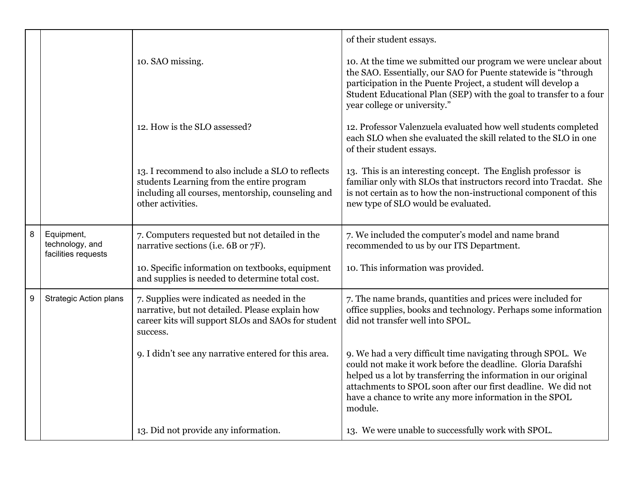|   |                                                      |                                                                                                                                                                          | of their student essays.                                                                                                                                                                                                                                                                                                             |
|---|------------------------------------------------------|--------------------------------------------------------------------------------------------------------------------------------------------------------------------------|--------------------------------------------------------------------------------------------------------------------------------------------------------------------------------------------------------------------------------------------------------------------------------------------------------------------------------------|
|   |                                                      | 10. SAO missing.                                                                                                                                                         | 10. At the time we submitted our program we were unclear about<br>the SAO. Essentially, our SAO for Puente statewide is "through<br>participation in the Puente Project, a student will develop a<br>Student Educational Plan (SEP) with the goal to transfer to a four<br>year college or university."                              |
|   |                                                      | 12. How is the SLO assessed?                                                                                                                                             | 12. Professor Valenzuela evaluated how well students completed<br>each SLO when she evaluated the skill related to the SLO in one<br>of their student essays.                                                                                                                                                                        |
|   |                                                      | 13. I recommend to also include a SLO to reflects<br>students Learning from the entire program<br>including all courses, mentorship, counseling and<br>other activities. | 13. This is an interesting concept. The English professor is<br>familiar only with SLOs that instructors record into Tracdat. She<br>is not certain as to how the non-instructional component of this<br>new type of SLO would be evaluated.                                                                                         |
| 8 | Equipment,<br>technology, and<br>facilities requests | 7. Computers requested but not detailed in the<br>narrative sections (i.e. 6B or 7F).                                                                                    | 7. We included the computer's model and name brand<br>recommended to us by our ITS Department.                                                                                                                                                                                                                                       |
|   |                                                      | 10. Specific information on textbooks, equipment<br>and supplies is needed to determine total cost.                                                                      | 10. This information was provided.                                                                                                                                                                                                                                                                                                   |
| 9 | <b>Strategic Action plans</b>                        | 7. Supplies were indicated as needed in the<br>narrative, but not detailed. Please explain how<br>career kits will support SLOs and SAOs for student<br>success.         | 7. The name brands, quantities and prices were included for<br>office supplies, books and technology. Perhaps some information<br>did not transfer well into SPOL.                                                                                                                                                                   |
|   |                                                      | 9. I didn't see any narrative entered for this area.                                                                                                                     | 9. We had a very difficult time navigating through SPOL. We<br>could not make it work before the deadline. Gloria Darafshi<br>helped us a lot by transferring the information in our original<br>attachments to SPOL soon after our first deadline. We did not<br>have a chance to write any more information in the SPOL<br>module. |
|   |                                                      | 13. Did not provide any information.                                                                                                                                     | 13. We were unable to successfully work with SPOL.                                                                                                                                                                                                                                                                                   |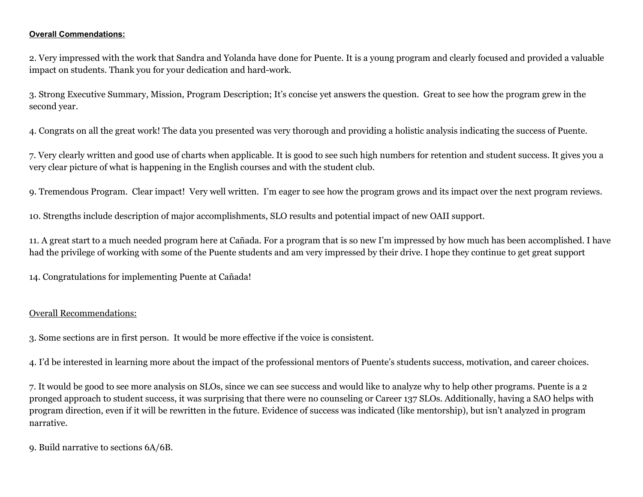#### **Overall Commendations:**

2. Very impressed with the work that Sandra and Yolanda have done for Puente. It is a young program and clearly focused and provided a valuable impact on students. Thank you for your dedication and hard-work.

3. Strong Executive Summary, Mission, Program Description; It's concise yet answers the question. Great to see how the program grew in the second year.

4. Congrats on all the great work! The data you presented was very thorough and providing a holistic analysis indicating the success of Puente.

7. Very clearly written and good use of charts when applicable. It is good to see such high numbers for retention and student success. It gives you a very clear picture of what is happening in the English courses and with the student club.

9. Tremendous Program. Clear impact! Very well written. I'm eager to see how the program grows and its impact over the next program reviews.

10. Strengths include description of major accomplishments, SLO results and potential impact of new OAII support.

11. A great start to a much needed program here at Cañada. For a program that is so new I'm impressed by how much has been accomplished. I have had the privilege of working with some of the Puente students and am very impressed by their drive. I hope they continue to get great support

14. Congratulations for implementing Puente at Cañada!

### Overall Recommendations:

3. Some sections are in first person. It would be more effective if the voice is consistent.

4. I'd be interested in learning more about the impact of the professional mentors of Puente's students success, motivation, and career choices.

7. It would be good to see more analysis on SLOs, since we can see success and would like to analyze why to help other programs. Puente is a 2 pronged approach to student success, it was surprising that there were no counseling or Career 137 SLOs. Additionally, having a SAO helps with program direction, even if it will be rewritten in the future. Evidence of success was indicated (like mentorship), but isn't analyzed in program narrative.

9. Build narrative to sections 6A/6B.